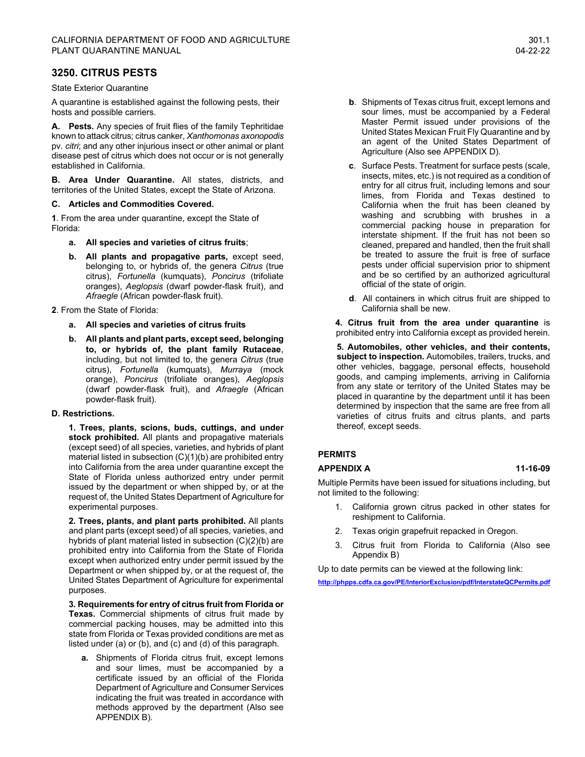# **3250. CITRUS PESTS**

State Exterior Quarantine

A quarantine is established against the following pests, their hosts and possible carriers.

**A. Pests.** Any species of fruit flies of the family Tephritidae known to attack citrus; citrus canker, *Xanthomonas axonopodis*  pv. *citri*; and any other injurious insect or other animal or plant disease pest of citrus which does not occur or is not generally established in California.

**B. Area Under Quarantine.** All states, districts, and territories of the United States, except the State of Arizona.

# **C. Articles and Commodities Covered.**

**1**. From the area under quarantine, except the State of Florida:

- **a. All species and varieties of citrus fruits**;
- **b. All plants and propagative parts,** except seed, belonging to, or hybrids of, the genera *Citrus* (true citrus), *Fortunella* (kumquats), *Poncirus* (trifoliate oranges), *Aeglopsis* (dwarf powder-flask fruit), and *Afraegle* (African powder-flask fruit).

**2**. From the State of Florida:

- **a. All species and varieties of citrus fruits**
- **b. All plants and plant parts, except seed, belonging to, or hybrids of, the plant family Rutaceae**, including, but not limited to, the genera *Citrus* (true citrus), *Fortunella* (kumquats), *Murraya* (mock orange), *Poncirus* (trifoliate oranges), *Aeglopsis* (dwarf powder-flask fruit), and *Afraegle* (African powder-flask fruit).

# **D. Restrictions.**

**1. Trees, plants, scions, buds, cuttings, and under stock prohibited.** All plants and propagative materials (except seed) of all species, varieties, and hybrids of plant material listed in subsection (C)(1)(b) are prohibited entry into California from the area under quarantine except the State of Florida unless authorized entry under permit issued by the department or when shipped by, or at the request of, the United States Department of Agriculture for experimental purposes.

**2. Trees, plants, and plant parts prohibited.** All plants and plant parts (except seed) of all species, varieties, and hybrids of plant material listed in subsection (C)(2)(b) are prohibited entry into California from the State of Florida except when authorized entry under permit issued by the Department or when shipped by, or at the request of, the United States Department of Agriculture for experimental purposes.

**3. Requirements for entry of citrus fruit from Florida or Texas.** Commercial shipments of citrus fruit made by commercial packing houses, may be admitted into this state from Florida or Texas provided conditions are met as listed under (a) or (b), and (c) and (d) of this paragraph.

**a.** Shipments of Florida citrus fruit, except lemons and sour limes, must be accompanied by a certificate issued by an official of the Florida Department of Agriculture and Consumer Services indicating the fruit was treated in accordance with methods approved by the department (Also see APPENDIX B).

- **b**. Shipments of Texas citrus fruit, except lemons and sour limes, must be accompanied by a Federal Master Permit issued under provisions of the United States Mexican Fruit Fly Quarantine and by an agent of the United States Department of Agriculture (Also see APPENDIX D).
- **c**. Surface Pests. Treatment for surface pests (scale, insects, mites, etc.) is not required as a condition of entry for all citrus fruit, including lemons and sour limes, from Florida and Texas destined to California when the fruit has been cleaned by washing and scrubbing with brushes in a commercial packing house in preparation for interstate shipment. If the fruit has not been so cleaned, prepared and handled, then the fruit shall be treated to assure the fruit is free of surface pests under official supervision prior to shipment and be so certified by an authorized agricultural official of the state of origin.
- **d**. All containers in which citrus fruit are shipped to California shall be new.

**4. Citrus fruit from the area under quarantine** is prohibited entry into California except as provided herein.

**5. Automobiles, other vehicles, and their contents, subject to inspection.** Automobiles, trailers, trucks, and other vehicles, baggage, personal effects, household goods, and camping implements, arriving in California from any state or territory of the United States may be placed in quarantine by the department until it has been determined by inspection that the same are free from all varieties of citrus fruits and citrus plants, and parts thereof, except seeds.

# **PERMITS**

# **APPENDIX A 11-16-09**

Multiple Permits have been issued for situations including, but not limited to the following:

- 1. California grown citrus packed in other states for reshipment to California.
- 2. Texas origin grapefruit repacked in Oregon.
- 3. Citrus fruit from Florida to California (Also see Appendix B)

Up to date permits can be viewed at the following link:

**<http://phpps.cdfa.ca.gov/PE/InteriorExclusion/pdf/InterstateQCPermits.pdf>**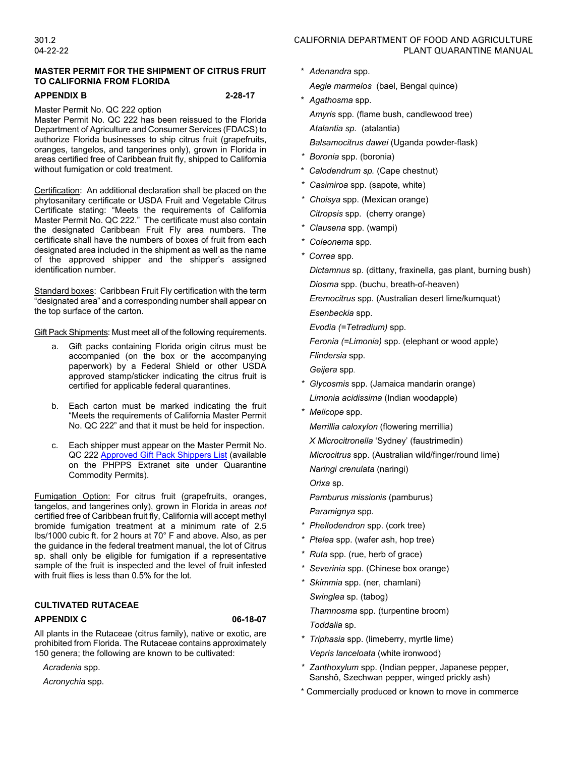# **MASTER PERMIT FOR THE SHIPMENT OF CITRUS FRUIT TO CALIFORNIA FROM FLORIDA**

### **APPENDIX B 2-28-17**

Master Permit No. QC 222 option

Master Permit No. QC 222 has been reissued to the Florida Department of Agriculture and Consumer Services (FDACS) to authorize Florida businesses to ship citrus fruit (grapefruits, oranges, tangelos, and tangerines only), grown in Florida in areas certified free of Caribbean fruit fly, shipped to California without fumigation or cold treatment.

Certification: An additional declaration shall be placed on the phytosanitary certificate or USDA Fruit and Vegetable Citrus Certificate stating: "Meets the requirements of California Master Permit No. QC 222." The certificate must also contain the designated Caribbean Fruit Fly area numbers. The certificate shall have the numbers of boxes of fruit from each designated area included in the shipment as well as the name of the approved shipper and the shipper's assigned identification number.

Standard boxes: Caribbean Fruit Fly certification with the term "designated area" and a corresponding number shall appear on the top surface of the carton.

Gift Pack Shipments: Must meet all of the following requirements.

- a. Gift packs containing Florida origin citrus must be accompanied (on the box or the accompanying paperwork) by a Federal Shield or other USDA approved stamp/sticker indicating the citrus fruit is certified for applicable federal quarantines.
- b. Each carton must be marked indicating the fruit "Meets the requirements of California Master Permit No. QC 222" and that it must be held for inspection.
- c. Each shipper must appear on the Master Permit No. QC 22[2 Approved Gift Pack Shippers List](http://phpps.cdfa.ca.gov/PE/InteriorExclusion/pdf/0222ShipperListGiftPacker2019.pdf) (available on the PHPPS Extranet site under Quarantine Commodity Permits).

Fumigation Option: For citrus fruit (grapefruits, oranges, tangelos, and tangerines only), grown in Florida in areas *not*  certified free of Caribbean fruit fly, California will accept methyl bromide fumigation treatment at a minimum rate of 2.5 lbs/1000 cubic ft. for 2 hours at 70° F and above. Also, as per the guidance in the federal treatment manual, the lot of Citrus sp. shall only be eligible for fumigation if a representative sample of the fruit is inspected and the level of fruit infested with fruit flies is less than 0.5% for the lot.

# **CULTIVATED RUTACEAE**

### **APPENDIX C 06-18-07**

All plants in the Rutaceae (citrus family), native or exotic, are prohibited from Florida. The Rutaceae contains approximately 150 genera; the following are known to be cultivated:

*Acradenia* spp.

*Acronychia* spp.

- 301.2 CALIFORNIA DEPARTMENT OF FOOD AND AGRICULTURE 04-22-22 PLANT QUARANTINE MANUAL
	- \* *Adenandra* spp. *Aegle marmelos* (bael, Bengal quince)
	- \* *Agathosma* spp. *Amyris* spp*.* (flame bush, candlewood tree) *Atalantia sp.* (atalantia) *Balsamocitrus dawei* (Uganda powder-flask)
	- *\* Boronia* spp. (boronia)
	- \* *Calodendrum sp.* (Cape chestnut)
	- *\* Casimiroa* spp. (sapote, white)
	- *\* Choisya* spp. (Mexican orange) *Citropsis* spp. (cherry orange)
	- *\* Clausena* spp. (wampi)
	- *\* Coleonema* spp.
	- *\* Correa* spp.

*Dictamnus* sp. (dittany, fraxinella, gas plant, burning bush)

*Diosma* spp. (buchu, breath-of-heaven)

*Eremocitrus* spp. (Australian desert lime/kumquat)

*Esenbeckia* spp.

*Evodia (=Tetradium)* spp.

*Feronia (=Limonia)* spp. (elephant or wood apple)

*Flindersia* spp.

*Geijera* spp.

- *\* Glycosmis* spp. (Jamaica mandarin orange) *Limonia acidissima* (Indian woodapple)
- *\* Melicope* spp.

*Merrillia caloxylon* (flowering merrillia)

*X Microcitronella* 'Sydney' (faustrimedin)

*Microcitrus* spp. (Australian wild/finger/round lime) *Naringi crenulata* (naringi)

*Orixa* sp.

*Pamburus missionis* (pamburus) *Paramignya* spp.

- *\* Phellodendron* spp. (cork tree)
- *\* Ptelea* spp. (wafer ash, hop tree)
- *\* Ruta* spp. (rue, herb of grace)
- *\* Severinia* spp. (Chinese box orange)
- *\* Skimmia* spp. (ner, chamlani) *Swinglea* sp. (tabog) *Thamnosma* spp. (turpentine broom) *Toddalia* sp.
- *\* Triphasia* spp. (limeberry, myrtle lime) *Vepris lanceloata* (white ironwood)
- *\* Zanthoxylum* spp. (Indian pepper, Japanese pepper, Sanshô, Szechwan pepper, winged prickly ash)
- \* Commercially produced or known to move in commerce